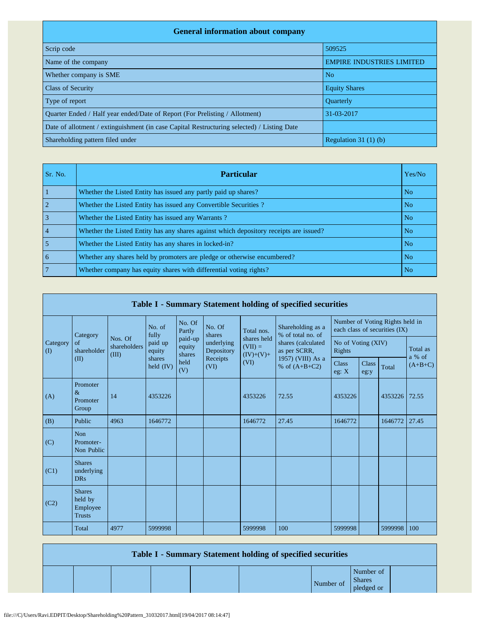| <b>General information about company</b>                                                   |                                  |  |  |  |  |  |  |  |  |
|--------------------------------------------------------------------------------------------|----------------------------------|--|--|--|--|--|--|--|--|
| Scrip code                                                                                 | 509525                           |  |  |  |  |  |  |  |  |
| Name of the company                                                                        | <b>EMPIRE INDUSTRIES LIMITED</b> |  |  |  |  |  |  |  |  |
| Whether company is SME                                                                     | N <sub>o</sub>                   |  |  |  |  |  |  |  |  |
| <b>Class of Security</b>                                                                   | <b>Equity Shares</b>             |  |  |  |  |  |  |  |  |
| Type of report                                                                             | <b>Ouarterly</b>                 |  |  |  |  |  |  |  |  |
| Ouarter Ended / Half year ended/Date of Report (For Prelisting / Allotment)                | 31-03-2017                       |  |  |  |  |  |  |  |  |
| Date of allotment / extinguishment (in case Capital Restructuring selected) / Listing Date |                                  |  |  |  |  |  |  |  |  |
| Shareholding pattern filed under                                                           | Regulation $31(1)(b)$            |  |  |  |  |  |  |  |  |

| Sr. No.        | <b>Particular</b>                                                                      | Yes/No         |
|----------------|----------------------------------------------------------------------------------------|----------------|
|                | Whether the Listed Entity has issued any partly paid up shares?                        | N <sub>o</sub> |
|                | Whether the Listed Entity has issued any Convertible Securities?                       | N <sub>o</sub> |
|                | Whether the Listed Entity has issued any Warrants?                                     | N <sub>o</sub> |
| $\overline{4}$ | Whether the Listed Entity has any shares against which depository receipts are issued? | N <sub>o</sub> |
|                | Whether the Listed Entity has any shares in locked-in?                                 | N <sub>o</sub> |
| 6              | Whether any shares held by promoters are pledge or otherwise encumbered?               | N <sub>o</sub> |
|                | Whether company has equity shares with differential voting rights?                     | N <sub>o</sub> |

| Table I - Summary Statement holding of specified securities |                                                       |                                  |                       |                             |                                              |                                         |                                                         |                                                                  |                      |         |                    |  |
|-------------------------------------------------------------|-------------------------------------------------------|----------------------------------|-----------------------|-----------------------------|----------------------------------------------|-----------------------------------------|---------------------------------------------------------|------------------------------------------------------------------|----------------------|---------|--------------------|--|
|                                                             | Category                                              |                                  | No. of<br>fully       | No. Of<br>Partly            | No. Of<br>shares                             | Total nos.                              | Shareholding as a<br>% of total no. of                  | Number of Voting Rights held in<br>each class of securities (IX) |                      |         |                    |  |
| Category<br>$\rm (I)$                                       | of<br>shareholder                                     | Nos. Of<br>shareholders<br>(III) | paid up<br>equity     | paid-up<br>equity<br>shares | underlying<br>Depository<br>Receipts<br>(VI) | shares held<br>$(VII) =$<br>$(IV)+(V)+$ | shares (calculated<br>as per SCRR,<br>1957) (VIII) As a | No of Voting (XIV)<br>Rights                                     |                      |         | Total as<br>a % of |  |
|                                                             | (II)                                                  |                                  | shares<br>held $(IV)$ | held<br>(V)                 |                                              | (VI)                                    | % of $(A+B+C2)$                                         | <b>Class</b><br>eg: X                                            | <b>Class</b><br>eg:y | Total   | $(A+B+C)$          |  |
| (A)                                                         | Promoter<br>$\&$<br>Promoter<br>Group                 | 14                               | 4353226               |                             |                                              | 4353226                                 | 72.55                                                   | 4353226                                                          |                      | 4353226 | 72.55              |  |
| (B)                                                         | Public                                                | 4963                             | 1646772               |                             |                                              | 1646772                                 | 27.45                                                   | 1646772                                                          |                      | 1646772 | 27.45              |  |
| (C)                                                         | <b>Non</b><br>Promoter-<br>Non Public                 |                                  |                       |                             |                                              |                                         |                                                         |                                                                  |                      |         |                    |  |
| (C1)                                                        | <b>Shares</b><br>underlying<br><b>DRs</b>             |                                  |                       |                             |                                              |                                         |                                                         |                                                                  |                      |         |                    |  |
| (C2)                                                        | <b>Shares</b><br>held by<br>Employee<br><b>Trusts</b> |                                  |                       |                             |                                              |                                         |                                                         |                                                                  |                      |         |                    |  |
|                                                             | Total                                                 | 4977                             | 5999998               |                             |                                              | 5999998                                 | 100                                                     | 5999998                                                          |                      | 5999998 | 100                |  |

| <b>Table I - Summary Statement holding of specified securities</b> |  |  |  |  |           |                                          |  |  |  |  |
|--------------------------------------------------------------------|--|--|--|--|-----------|------------------------------------------|--|--|--|--|
|                                                                    |  |  |  |  | Number of | Number of<br><b>Shares</b><br>pledged or |  |  |  |  |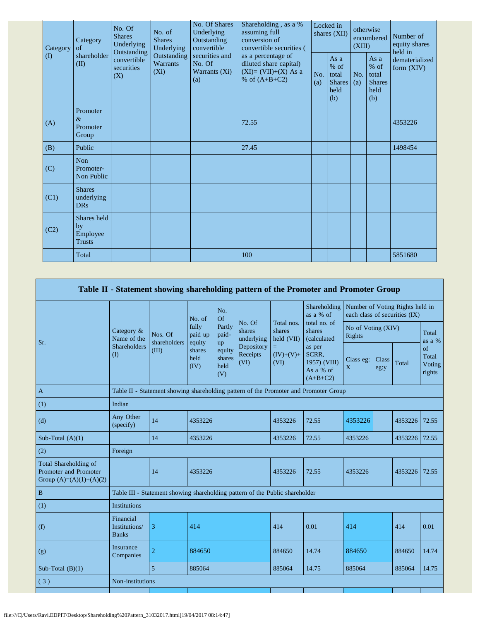| Category | Category<br>of                                 | No. Of<br>Underlying<br>assuming full<br>No. of<br><b>Shares</b><br><b>Shares</b><br>conversion of<br>Outstanding<br>Underlying<br>Underlying<br>convertible<br>Outstanding<br>Outstanding<br>securities and<br>as a percentage of<br>convertible<br>Warrants<br>No. Of<br>securities<br>$(X_i)$<br>Warrants (Xi)<br>(X)<br>% of $(A+B+C2)$<br>(a) | No. Of Shares                                   | Shareholding, as a %<br>convertible securities ( | Locked in<br>shares (XII)                               |            | otherwise<br>encumbered<br>(XIII)                       |                                | Number of<br>equity shares<br>held in |
|----------|------------------------------------------------|----------------------------------------------------------------------------------------------------------------------------------------------------------------------------------------------------------------------------------------------------------------------------------------------------------------------------------------------------|-------------------------------------------------|--------------------------------------------------|---------------------------------------------------------|------------|---------------------------------------------------------|--------------------------------|---------------------------------------|
| $\rm(D)$ | shareholder<br>(II)                            |                                                                                                                                                                                                                                                                                                                                                    | diluted share capital)<br>$(XI)=(VII)+(X) As a$ | No.<br>(a)                                       | As a<br>$%$ of<br>total<br><b>Shares</b><br>held<br>(b) | No.<br>(a) | As a<br>$%$ of<br>total<br><b>Shares</b><br>held<br>(b) | dematerialized<br>form $(XIV)$ |                                       |
| (A)      | Promoter<br>$\&$<br>Promoter<br>Group          |                                                                                                                                                                                                                                                                                                                                                    |                                                 | 72.55                                            |                                                         |            |                                                         |                                | 4353226                               |
| (B)      | Public                                         |                                                                                                                                                                                                                                                                                                                                                    |                                                 | 27.45                                            |                                                         |            |                                                         |                                | 1498454                               |
| (C)      | Non<br>Promoter-<br>Non Public                 |                                                                                                                                                                                                                                                                                                                                                    |                                                 |                                                  |                                                         |            |                                                         |                                |                                       |
| (C1)     | <b>Shares</b><br>underlying<br><b>DRs</b>      |                                                                                                                                                                                                                                                                                                                                                    |                                                 |                                                  |                                                         |            |                                                         |                                |                                       |
| (C2)     | Shares held<br>by<br>Employee<br><b>Trusts</b> |                                                                                                                                                                                                                                                                                                                                                    |                                                 |                                                  |                                                         |            |                                                         |                                |                                       |
|          | Total                                          |                                                                                                                                                                                                                                                                                                                                                    |                                                 | 100                                              |                                                         |            |                                                         |                                | 5851680                               |

|                                                                             |                                            |                                                                                      |                                                      |                                 |                                |                                    | Table II - Statement showing shareholding pattern of the Promoter and Promoter Group                |                              |                                                                  |               |                                 |  |
|-----------------------------------------------------------------------------|--------------------------------------------|--------------------------------------------------------------------------------------|------------------------------------------------------|---------------------------------|--------------------------------|------------------------------------|-----------------------------------------------------------------------------------------------------|------------------------------|------------------------------------------------------------------|---------------|---------------------------------|--|
|                                                                             |                                            |                                                                                      | No. of                                               | No.<br>Of                       |                                |                                    | Shareholding<br>as a % of                                                                           |                              | Number of Voting Rights held in<br>each class of securities (IX) |               |                                 |  |
| Sr.                                                                         | Category &<br>Name of the                  | Nos. Of<br>shareholders                                                              | fully<br>paid up<br>equity<br>shares<br>held<br>(IV) | Partly<br>paid-<br>up           | No. Of<br>shares<br>underlying | Total nos.<br>shares<br>held (VII) | total no. of<br>shares<br>(calculated<br>as per<br>SCRR,<br>1957) (VIII)<br>As a % of<br>$(A+B+C2)$ | No of Voting (XIV)<br>Rights |                                                                  |               | Total<br>as a %                 |  |
|                                                                             | Shareholders<br>(1)                        | (III)                                                                                |                                                      | equity<br>shares<br>held<br>(V) | Depository<br>Receipts<br>(VI) | $=$<br>$(IV)+(V)+$<br>(VI)         |                                                                                                     | Class eg:<br>X               | Class<br>eg:y                                                    | Total         | of<br>Total<br>Voting<br>rights |  |
| $\mathbf{A}$                                                                |                                            | Table II - Statement showing shareholding pattern of the Promoter and Promoter Group |                                                      |                                 |                                |                                    |                                                                                                     |                              |                                                                  |               |                                 |  |
| (1)                                                                         | Indian                                     |                                                                                      |                                                      |                                 |                                |                                    |                                                                                                     |                              |                                                                  |               |                                 |  |
| (d)                                                                         | Any Other<br>(specify)                     | 14                                                                                   | 4353226                                              |                                 |                                | 4353226                            | 72.55                                                                                               | 4353226                      |                                                                  | 4353226       | 72.55                           |  |
| Sub-Total $(A)(1)$                                                          |                                            | 14                                                                                   | 4353226                                              |                                 |                                | 4353226                            | 72.55                                                                                               | 4353226                      |                                                                  | 4353226 72.55 |                                 |  |
| (2)                                                                         | Foreign                                    |                                                                                      |                                                      |                                 |                                |                                    |                                                                                                     |                              |                                                                  |               |                                 |  |
| Total Shareholding of<br>Promoter and Promoter<br>Group $(A)=(A)(1)+(A)(2)$ |                                            | 14                                                                                   | 4353226                                              |                                 |                                | 4353226                            | 72.55                                                                                               | 4353226                      |                                                                  | 4353226       | 72.55                           |  |
| $\, {\bf B}$                                                                |                                            | Table III - Statement showing shareholding pattern of the Public shareholder         |                                                      |                                 |                                |                                    |                                                                                                     |                              |                                                                  |               |                                 |  |
| (1)                                                                         | <b>Institutions</b>                        |                                                                                      |                                                      |                                 |                                |                                    |                                                                                                     |                              |                                                                  |               |                                 |  |
| (f)                                                                         | Financial<br>Institutions/<br><b>Banks</b> | 3                                                                                    | 414                                                  |                                 |                                | 414                                | 0.01                                                                                                | 414                          |                                                                  | 414           | 0.01                            |  |
| (g)                                                                         | Insurance<br>Companies                     | $\overline{2}$                                                                       | 884650                                               |                                 |                                | 884650                             | 14.74                                                                                               | 884650                       |                                                                  | 884650        | 14.74                           |  |
| Sub-Total $(B)(1)$                                                          |                                            | $\overline{5}$                                                                       | 885064                                               |                                 |                                | 885064                             | 14.75                                                                                               | 885064                       |                                                                  | 885064        | 14.75                           |  |
| (3)                                                                         | Non-institutions                           |                                                                                      |                                                      |                                 |                                |                                    |                                                                                                     |                              |                                                                  |               |                                 |  |
|                                                                             |                                            |                                                                                      |                                                      |                                 |                                |                                    |                                                                                                     |                              |                                                                  |               |                                 |  |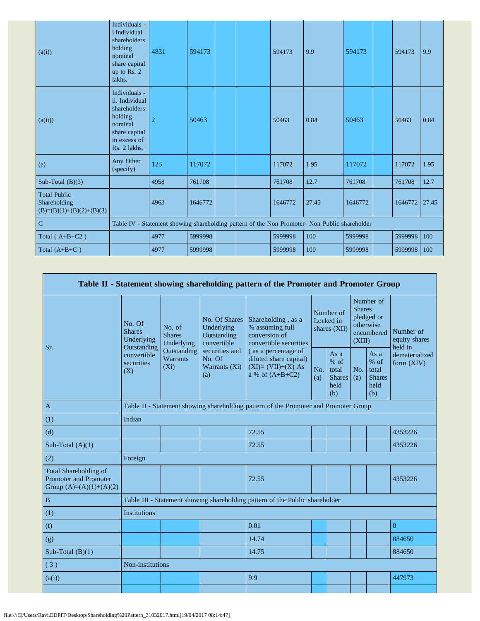| (a(i))                                                            | Individuals -<br>i.Individual<br>shareholders<br>holding<br>nominal<br>share capital<br>up to Rs. 2<br>lakhs.          | 4831           | 594173  |  | 594173  | 9.9                                                                                           | 594173  | 594173        | 9.9  |
|-------------------------------------------------------------------|------------------------------------------------------------------------------------------------------------------------|----------------|---------|--|---------|-----------------------------------------------------------------------------------------------|---------|---------------|------|
| (a(ii))                                                           | Individuals -<br>ii. Individual<br>shareholders<br>holding<br>nominal<br>share capital<br>in excess of<br>Rs. 2 lakhs. | $\overline{2}$ | 50463   |  | 50463   | 0.84                                                                                          | 50463   | 50463         | 0.84 |
| (e)                                                               | Any Other<br>(specify)                                                                                                 | 125            | 117072  |  | 117072  | 1.95                                                                                          | 117072  | 117072        | 1.95 |
| Sub-Total $(B)(3)$                                                |                                                                                                                        | 4958           | 761708  |  | 761708  | 12.7                                                                                          | 761708  | 761708        | 12.7 |
| <b>Total Public</b><br>Shareholding<br>$(B)=(B)(1)+(B)(2)+(B)(3)$ |                                                                                                                        | 4963           | 1646772 |  | 1646772 | 27.45                                                                                         | 1646772 | 1646772 27.45 |      |
| $\overline{C}$                                                    |                                                                                                                        |                |         |  |         | Table IV - Statement showing shareholding pattern of the Non Promoter- Non Public shareholder |         |               |      |
| Total $(A+B+C2)$                                                  |                                                                                                                        | 4977           | 5999998 |  | 5999998 | 100                                                                                           | 5999998 | 5999998       | 100  |
| Total $(A+B+C)$                                                   |                                                                                                                        | 4977           | 5999998 |  | 5999998 | 100                                                                                           | 5999998 | 5999998       | 100  |

| Table II - Statement showing shareholding pattern of the Promoter and Promoter Group      |                                                      |                                           |                                                                                                               |                                                                                                                                                                               |                                        |                                                         |                                                                               |                                                         |                                       |  |  |
|-------------------------------------------------------------------------------------------|------------------------------------------------------|-------------------------------------------|---------------------------------------------------------------------------------------------------------------|-------------------------------------------------------------------------------------------------------------------------------------------------------------------------------|----------------------------------------|---------------------------------------------------------|-------------------------------------------------------------------------------|---------------------------------------------------------|---------------------------------------|--|--|
| Sr.                                                                                       | No. Of<br><b>Shares</b><br>Underlying<br>Outstanding | No. of<br><b>Shares</b><br>Underlying     | No. Of Shares<br>Underlying<br>Outstanding<br>convertible<br>securities and<br>No. Of<br>Warrants (Xi)<br>(a) | Shareholding, as a<br>% assuming full<br>conversion of<br>convertible securities<br>(as a percentage of<br>diluted share capital)<br>$(XI)=(VII)+(X) As$<br>a % of $(A+B+C2)$ | Number of<br>Locked in<br>shares (XII) |                                                         | Number of<br><b>Shares</b><br>pledged or<br>otherwise<br>encumbered<br>(XIII) |                                                         | Number of<br>equity shares<br>held in |  |  |
|                                                                                           | convertible<br>securities<br>(X)                     | Outstanding<br><b>Warrants</b><br>$(X_i)$ |                                                                                                               |                                                                                                                                                                               | No.<br>(a)                             | As a<br>$%$ of<br>total<br><b>Shares</b><br>held<br>(b) | No.<br>(a)                                                                    | As a<br>$%$ of<br>total<br><b>Shares</b><br>held<br>(b) | dematerialized<br>form (XIV)          |  |  |
| $\mathbf{A}$                                                                              |                                                      |                                           |                                                                                                               | Table II - Statement showing shareholding pattern of the Promoter and Promoter Group                                                                                          |                                        |                                                         |                                                                               |                                                         |                                       |  |  |
| (1)                                                                                       | Indian                                               |                                           |                                                                                                               |                                                                                                                                                                               |                                        |                                                         |                                                                               |                                                         |                                       |  |  |
| (d)                                                                                       |                                                      |                                           |                                                                                                               | 72.55                                                                                                                                                                         |                                        |                                                         |                                                                               |                                                         | 4353226                               |  |  |
| Sub-Total $(A)(1)$                                                                        |                                                      |                                           |                                                                                                               | 72.55                                                                                                                                                                         |                                        |                                                         |                                                                               |                                                         | 4353226                               |  |  |
| (2)                                                                                       | Foreign                                              |                                           |                                                                                                               |                                                                                                                                                                               |                                        |                                                         |                                                                               |                                                         |                                       |  |  |
| <b>Total Shareholding of</b><br><b>Promoter and Promoter</b><br>Group $(A)=(A)(1)+(A)(2)$ |                                                      |                                           |                                                                                                               | 72.55                                                                                                                                                                         |                                        |                                                         |                                                                               |                                                         | 4353226                               |  |  |
| $\, {\bf B}$                                                                              |                                                      |                                           |                                                                                                               | Table III - Statement showing shareholding pattern of the Public shareholder                                                                                                  |                                        |                                                         |                                                                               |                                                         |                                       |  |  |
| (1)                                                                                       | <b>Institutions</b>                                  |                                           |                                                                                                               |                                                                                                                                                                               |                                        |                                                         |                                                                               |                                                         |                                       |  |  |
| (f)                                                                                       |                                                      |                                           |                                                                                                               | 0.01                                                                                                                                                                          |                                        |                                                         |                                                                               |                                                         | $\overline{0}$                        |  |  |
| (g)                                                                                       |                                                      |                                           |                                                                                                               | 14.74                                                                                                                                                                         |                                        |                                                         |                                                                               |                                                         | 884650                                |  |  |
| Sub-Total $(B)(1)$                                                                        |                                                      |                                           |                                                                                                               | 14.75                                                                                                                                                                         |                                        |                                                         |                                                                               |                                                         | 884650                                |  |  |
| (3)                                                                                       | Non-institutions                                     |                                           |                                                                                                               |                                                                                                                                                                               |                                        |                                                         |                                                                               |                                                         |                                       |  |  |
| (a(i))                                                                                    |                                                      |                                           |                                                                                                               | 9.9                                                                                                                                                                           |                                        |                                                         |                                                                               |                                                         | 447973                                |  |  |
|                                                                                           |                                                      |                                           |                                                                                                               |                                                                                                                                                                               |                                        |                                                         |                                                                               |                                                         |                                       |  |  |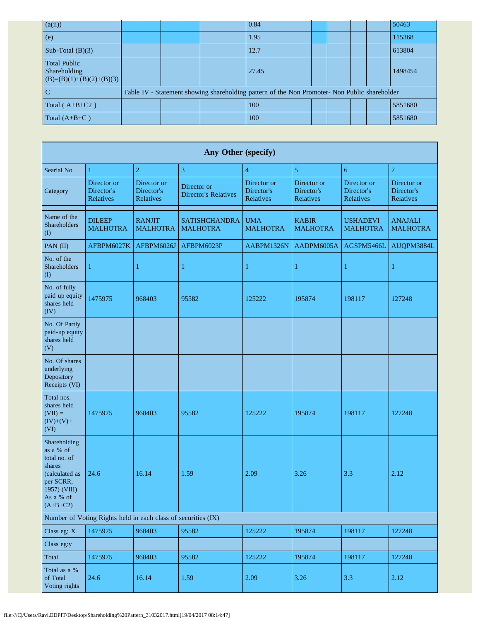| (a(ii))                                                           |  | 0.84                                                                                          |  |  | 50463   |
|-------------------------------------------------------------------|--|-----------------------------------------------------------------------------------------------|--|--|---------|
| (e)                                                               |  | 1.95                                                                                          |  |  | 115368  |
| Sub-Total $(B)(3)$                                                |  | 12.7                                                                                          |  |  | 613804  |
| <b>Total Public</b><br>Shareholding<br>$(B)=(B)(1)+(B)(2)+(B)(3)$ |  | 27.45                                                                                         |  |  | 1498454 |
|                                                                   |  | Table IV - Statement showing shareholding pattern of the Non Promoter- Non Public shareholder |  |  |         |
| Total ( $A+B+C2$ )                                                |  | 100                                                                                           |  |  | 5851680 |
| Total $(A+B+C)$                                                   |  | 100                                                                                           |  |  | 5851680 |

| <b>Any Other (specify)</b>                                                                                                    |                                                               |                                        |                                            |                                               |                                               |                                               |                                        |  |  |  |  |  |
|-------------------------------------------------------------------------------------------------------------------------------|---------------------------------------------------------------|----------------------------------------|--------------------------------------------|-----------------------------------------------|-----------------------------------------------|-----------------------------------------------|----------------------------------------|--|--|--|--|--|
| Searial No.                                                                                                                   | 1                                                             | $\overline{2}$                         | 3                                          | $\overline{4}$                                | 5                                             | 6                                             | $\overline{7}$                         |  |  |  |  |  |
| Category                                                                                                                      | Director or<br>Director's<br>Relatives                        | Director or<br>Director's<br>Relatives | Director or<br><b>Director's Relatives</b> | Director or<br>Director's<br><b>Relatives</b> | Director or<br>Director's<br><b>Relatives</b> | Director or<br>Director's<br><b>Relatives</b> | Director or<br>Director's<br>Relatives |  |  |  |  |  |
| Name of the<br>Shareholders<br>(I)                                                                                            | <b>DILEEP</b><br><b>MALHOTRA</b>                              | <b>RANJIT</b><br><b>MALHOTRA</b>       | <b>SATISHCHANDRA</b><br><b>MALHOTRA</b>    | <b>UMA</b><br><b>MALHOTRA</b>                 | <b>KABIR</b><br><b>MALHOTRA</b>               | <b>USHADEVI</b><br><b>MALHOTRA</b>            | <b>ANAJALI</b><br><b>MALHOTRA</b>      |  |  |  |  |  |
| PAN (II)                                                                                                                      | AFBPM6027K                                                    | AFBPM6026J                             | AFBPM6023P                                 | AABPM1326N                                    | AADPM6005A                                    | AGSPM5466L                                    | AUQPM3884L                             |  |  |  |  |  |
| No. of the<br>Shareholders<br>$($ $\Gamma$                                                                                    | $\mathbf 1$                                                   | $\mathbf{1}$                           | $\mathbf{1}$                               | 1                                             | 1                                             | 1                                             | 1                                      |  |  |  |  |  |
| No. of fully<br>paid up equity<br>shares held<br>(IV)                                                                         | 1475975                                                       | 968403                                 | 95582                                      | 125222                                        | 195874                                        | 198117                                        | 127248                                 |  |  |  |  |  |
| No. Of Partly<br>paid-up equity<br>shares held<br>(V)                                                                         |                                                               |                                        |                                            |                                               |                                               |                                               |                                        |  |  |  |  |  |
| No. Of shares<br>underlying<br>Depository<br>Receipts (VI)                                                                    |                                                               |                                        |                                            |                                               |                                               |                                               |                                        |  |  |  |  |  |
| Total nos.<br>shares held<br>$(VII) =$<br>$(IV)+(V)+$<br>(VI)                                                                 | 1475975                                                       | 968403                                 | 95582                                      | 125222                                        | 195874                                        | 198117                                        | 127248                                 |  |  |  |  |  |
| Shareholding<br>as a % of<br>total no. of<br>shares<br>(calculated as<br>per SCRR,<br>1957) (VIII)<br>As a % of<br>$(A+B+C2)$ | 24.6                                                          | 16.14                                  | 1.59                                       | 2.09                                          | 3.26                                          | 3.3                                           | 2.12                                   |  |  |  |  |  |
|                                                                                                                               | Number of Voting Rights held in each class of securities (IX) |                                        |                                            |                                               |                                               |                                               |                                        |  |  |  |  |  |
| Class eg: X                                                                                                                   | 1475975                                                       | 968403                                 | 95582                                      | 125222                                        | 195874                                        | 198117                                        | 127248                                 |  |  |  |  |  |
| Class eg:y                                                                                                                    |                                                               |                                        |                                            |                                               |                                               |                                               |                                        |  |  |  |  |  |
| Total                                                                                                                         | 1475975                                                       | 968403                                 | 95582                                      | 125222                                        | 195874                                        | 198117                                        | 127248                                 |  |  |  |  |  |
| Total as a %<br>of Total<br>Voting rights                                                                                     | 24.6                                                          | 16.14                                  | 1.59                                       | 2.09                                          | 3.26                                          | 3.3                                           | 2.12                                   |  |  |  |  |  |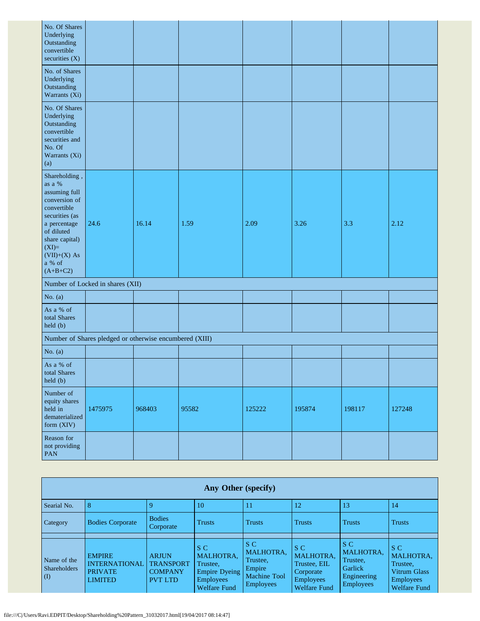| No. Of Shares<br>Underlying<br>Outstanding<br>convertible<br>securities $(X)$                                                                                                                      |                                                         |        |       |        |        |        |        |
|----------------------------------------------------------------------------------------------------------------------------------------------------------------------------------------------------|---------------------------------------------------------|--------|-------|--------|--------|--------|--------|
| No. of Shares<br>Underlying<br>Outstanding<br>Warrants (Xi)                                                                                                                                        |                                                         |        |       |        |        |        |        |
| No. Of Shares<br>Underlying<br>Outstanding<br>convertible<br>securities and<br>No. Of<br>Warrants (Xi)<br>(a)                                                                                      |                                                         |        |       |        |        |        |        |
| Shareholding,<br>as a $\%$<br>assuming full<br>conversion of<br>convertible<br>securities (as<br>a percentage<br>of diluted<br>share capital)<br>$(XI)=$<br>$(VII)+(X) As$<br>a % of<br>$(A+B+C2)$ | 24.6                                                    | 16.14  | 1.59  | 2.09   | 3.26   | 3.3    | 2.12   |
|                                                                                                                                                                                                    | Number of Locked in shares (XII)                        |        |       |        |        |        |        |
| No. $(a)$                                                                                                                                                                                          |                                                         |        |       |        |        |        |        |
| As a % of<br>total Shares<br>held (b)                                                                                                                                                              |                                                         |        |       |        |        |        |        |
|                                                                                                                                                                                                    | Number of Shares pledged or otherwise encumbered (XIII) |        |       |        |        |        |        |
| No. $(a)$                                                                                                                                                                                          |                                                         |        |       |        |        |        |        |
| As a % of<br>total Shares<br>held (b)                                                                                                                                                              |                                                         |        |       |        |        |        |        |
| Number of<br>equity shares<br>held in<br>dematerialized<br>form (XIV)                                                                                                                              | 1475975                                                 | 968403 | 95582 | 125222 | 195874 | 198117 | 127248 |
| Reason for<br>not providing<br>PAN                                                                                                                                                                 |                                                         |        |       |        |        |        |        |

|                                                                 | Any Other (specify)                                                       |                                                                      |                                                                                                 |                                                                                          |                                                                                                 |                                                                                   |                                                                                         |  |  |  |  |  |
|-----------------------------------------------------------------|---------------------------------------------------------------------------|----------------------------------------------------------------------|-------------------------------------------------------------------------------------------------|------------------------------------------------------------------------------------------|-------------------------------------------------------------------------------------------------|-----------------------------------------------------------------------------------|-----------------------------------------------------------------------------------------|--|--|--|--|--|
| Searial No.                                                     | 8                                                                         |                                                                      | 10                                                                                              |                                                                                          | 12                                                                                              | 13                                                                                | 14                                                                                      |  |  |  |  |  |
| Category                                                        | <b>Bodies Corporate</b>                                                   | <b>Bodies</b><br>Corporate                                           | <b>Trusts</b>                                                                                   | <b>Trusts</b>                                                                            | <b>Trusts</b>                                                                                   | <b>Trusts</b>                                                                     | <b>Trusts</b>                                                                           |  |  |  |  |  |
|                                                                 |                                                                           |                                                                      |                                                                                                 |                                                                                          |                                                                                                 |                                                                                   |                                                                                         |  |  |  |  |  |
| Name of the<br><b>Shareholders</b><br>$\mathcal{L}(\mathbf{I})$ | <b>EMPIRE</b><br><b>INTERNATIONAL</b><br><b>PRIVATE</b><br><b>LIMITED</b> | <b>ARJUN</b><br><b>TRANSPORT</b><br><b>COMPANY</b><br><b>PVT LTD</b> | S C<br><b>MALHOTRA.</b><br>Trustee,<br>Empire Dyeing<br><b>Employees</b><br><b>Welfare Fund</b> | S C<br><b>MALHOTRA,</b><br>Trustee,<br>Empire<br><b>Machine Tool</b><br><b>Employees</b> | S C<br><b>MALHOTRA.</b><br>Trustee, EIL<br>Corporate<br><b>Employees</b><br><b>Welfare Fund</b> | S C<br><b>MALHOTRA.</b><br>Trustee,<br>Garlick<br>Engineering<br><b>Employees</b> | S C<br>MALHOTRA.<br>Trustee,<br>Vitrum Glass<br><b>Employees</b><br><b>Welfare Fund</b> |  |  |  |  |  |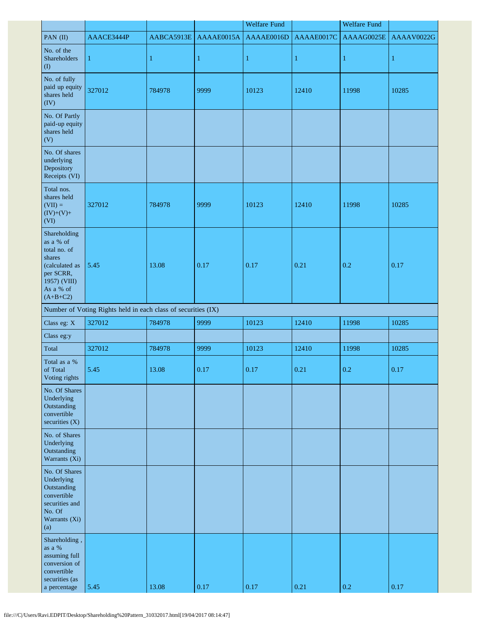|                                                                                                                               |                                                               |              |              | <b>Welfare Fund</b> |              | <b>Welfare Fund</b> |            |
|-------------------------------------------------------------------------------------------------------------------------------|---------------------------------------------------------------|--------------|--------------|---------------------|--------------|---------------------|------------|
| PAN (II)                                                                                                                      | AAACE3444P                                                    | AABCA5913E   | AAAAE0015A   | AAAAE0016D          | AAAAE0017C   | AAAAG0025E          | AAAAV0022G |
| No. of the<br>Shareholders<br>$($ I                                                                                           | $\mathbf{1}$                                                  | $\mathbf{1}$ | $\mathbf{1}$ | $\mathbf{1}$        | $\mathbf{1}$ | $\mathbf{1}$        | 1          |
| No. of fully<br>paid up equity<br>shares held<br>(IV)                                                                         | 327012                                                        | 784978       | 9999         | 10123               | 12410        | 11998               | 10285      |
| No. Of Partly<br>paid-up equity<br>shares held<br>(V)                                                                         |                                                               |              |              |                     |              |                     |            |
| No. Of shares<br>underlying<br>Depository<br>Receipts (VI)                                                                    |                                                               |              |              |                     |              |                     |            |
| Total nos.<br>shares held<br>$(VII) =$<br>$(IV)+(V)+$<br>(VI)                                                                 | 327012                                                        | 784978       | 9999         | 10123               | 12410        | 11998               | 10285      |
| Shareholding<br>as a % of<br>total no. of<br>shares<br>(calculated as<br>per SCRR,<br>1957) (VIII)<br>As a % of<br>$(A+B+C2)$ | 5.45                                                          | 13.08        | 0.17         | 0.17                | 0.21         | 0.2                 | 0.17       |
|                                                                                                                               | Number of Voting Rights held in each class of securities (IX) |              |              |                     |              |                     |            |
| Class eg: X                                                                                                                   | 327012                                                        | 784978       | 9999         | 10123               | 12410        | 11998               | 10285      |
| Class eg:y                                                                                                                    |                                                               |              |              |                     |              |                     |            |
| Total                                                                                                                         | 327012                                                        | 784978       | 9999         | 10123               | 12410        | 11998               | 10285      |
| Total as a %<br>of Total<br>Voting rights                                                                                     | 5.45                                                          | 13.08        | 0.17         | 0.17                | 0.21         | 0.2                 | 0.17       |
| No. Of Shares<br>Underlying<br>Outstanding<br>convertible<br>securities $(X)$                                                 |                                                               |              |              |                     |              |                     |            |
| No. of Shares<br>Underlying<br>Outstanding<br>Warrants (Xi)                                                                   |                                                               |              |              |                     |              |                     |            |
| No. Of Shares<br>Underlying<br>Outstanding<br>convertible<br>securities and<br>No. Of<br>Warrants (Xi)<br>(a)                 |                                                               |              |              |                     |              |                     |            |
| Shareholding,<br>as a $\%$<br>assuming full<br>conversion of<br>convertible<br>securities (as<br>a percentage                 | 5.45                                                          | 13.08        | $0.17\,$     | $0.17\,$            | 0.21         | 0.2                 | 0.17       |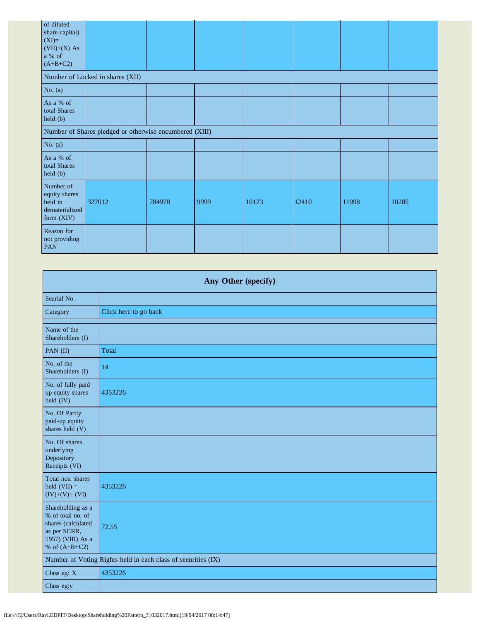| of diluted<br>share capital)<br>$(XI)=$<br>$(VII)+(X) As$<br>a % of<br>$(A+B+C2)$ |                                                         |        |      |       |       |       |       |
|-----------------------------------------------------------------------------------|---------------------------------------------------------|--------|------|-------|-------|-------|-------|
|                                                                                   | Number of Locked in shares (XII)                        |        |      |       |       |       |       |
| No. $(a)$                                                                         |                                                         |        |      |       |       |       |       |
| As a % of<br>total Shares<br>held (b)                                             |                                                         |        |      |       |       |       |       |
|                                                                                   | Number of Shares pledged or otherwise encumbered (XIII) |        |      |       |       |       |       |
| No. $(a)$                                                                         |                                                         |        |      |       |       |       |       |
| As a % of<br>total Shares<br>held (b)                                             |                                                         |        |      |       |       |       |       |
| Number of<br>equity shares<br>held in<br>dematerialized<br>form (XIV)             | 327012                                                  | 784978 | 9999 | 10123 | 12410 | 11998 | 10285 |
| Reason for<br>not providing<br><b>PAN</b>                                         |                                                         |        |      |       |       |       |       |

| Any Other (specify)                                                                                                  |                                                               |  |  |  |  |  |
|----------------------------------------------------------------------------------------------------------------------|---------------------------------------------------------------|--|--|--|--|--|
| Searial No.                                                                                                          |                                                               |  |  |  |  |  |
| Category                                                                                                             | Click here to go back                                         |  |  |  |  |  |
| Name of the<br>Shareholders (I)                                                                                      |                                                               |  |  |  |  |  |
| PAN (II)                                                                                                             | Total                                                         |  |  |  |  |  |
| No. of the<br>Shareholders (I)                                                                                       | 14                                                            |  |  |  |  |  |
| No. of fully paid<br>up equity shares<br>$\text{held (IV)}$                                                          | 4353226                                                       |  |  |  |  |  |
| No. Of Partly<br>paid-up equity<br>shares held (V)                                                                   |                                                               |  |  |  |  |  |
| No. Of shares<br>underlying<br>Depository<br>Receipts (VI)                                                           |                                                               |  |  |  |  |  |
| Total nos. shares<br>held $(VII) =$<br>$(IV)+(V)+(VI)$                                                               | 4353226                                                       |  |  |  |  |  |
| Shareholding as a<br>% of total no. of<br>shares (calculated<br>as per SCRR,<br>1957) (VIII) As a<br>% of $(A+B+C2)$ | 72.55                                                         |  |  |  |  |  |
|                                                                                                                      | Number of Voting Rights held in each class of securities (IX) |  |  |  |  |  |
| Class eg: X                                                                                                          | 4353226                                                       |  |  |  |  |  |
| Class eg:y                                                                                                           |                                                               |  |  |  |  |  |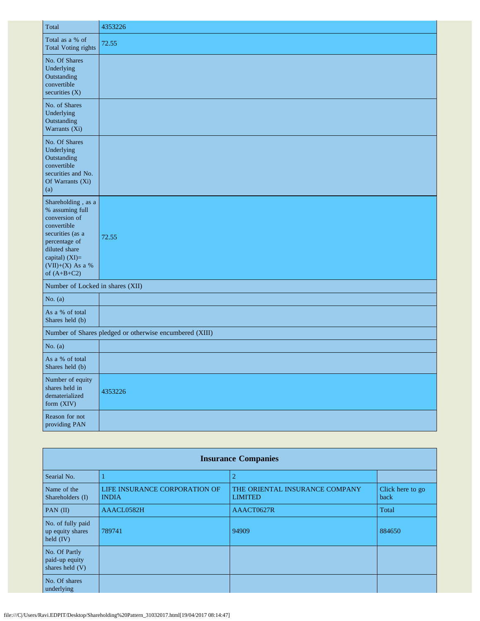| Total                                                                                                                                                                              | 4353226                                                 |
|------------------------------------------------------------------------------------------------------------------------------------------------------------------------------------|---------------------------------------------------------|
| Total as a % of<br><b>Total Voting rights</b>                                                                                                                                      | 72.55                                                   |
| No. Of Shares<br>Underlying<br>Outstanding<br>convertible<br>securities (X)                                                                                                        |                                                         |
| No. of Shares<br>Underlying<br>Outstanding<br>Warrants (Xi)                                                                                                                        |                                                         |
| No. Of Shares<br>Underlying<br>Outstanding<br>convertible<br>securities and No.<br>Of Warrants (Xi)<br>(a)                                                                         |                                                         |
| Shareholding, as a<br>% assuming full<br>conversion of<br>convertible<br>securities (as a<br>percentage of<br>diluted share<br>capital) (XI)=<br>(VII)+(X) As a %<br>of $(A+B+C2)$ | 72.55                                                   |
| Number of Locked in shares (XII)                                                                                                                                                   |                                                         |
| No. $(a)$                                                                                                                                                                          |                                                         |
| As a % of total<br>Shares held (b)                                                                                                                                                 |                                                         |
|                                                                                                                                                                                    | Number of Shares pledged or otherwise encumbered (XIII) |
| No. $(a)$                                                                                                                                                                          |                                                         |
| As a % of total<br>Shares held (b)                                                                                                                                                 |                                                         |
| Number of equity<br>shares held in<br>dematerialized<br>form (XIV)                                                                                                                 | 4353226                                                 |
| Reason for not<br>providing PAN                                                                                                                                                    |                                                         |

| <b>Insurance Companies</b>                           |                                               |                                                  |                          |  |  |  |  |
|------------------------------------------------------|-----------------------------------------------|--------------------------------------------------|--------------------------|--|--|--|--|
| Searial No.                                          |                                               | $\overline{2}$                                   |                          |  |  |  |  |
| Name of the<br>Shareholders (I)                      | LIFE INSURANCE CORPORATION OF<br><b>INDIA</b> | THE ORIENTAL INSURANCE COMPANY<br><b>LIMITED</b> | Click here to go<br>back |  |  |  |  |
| PAN $(II)$                                           | AAACL0582H                                    | AAACT0627R                                       | Total                    |  |  |  |  |
| No. of fully paid<br>up equity shares<br>held $(IV)$ | 789741                                        | 94909                                            | 884650                   |  |  |  |  |
| No. Of Partly<br>paid-up equity<br>shares held (V)   |                                               |                                                  |                          |  |  |  |  |
| No. Of shares<br>underlying                          |                                               |                                                  |                          |  |  |  |  |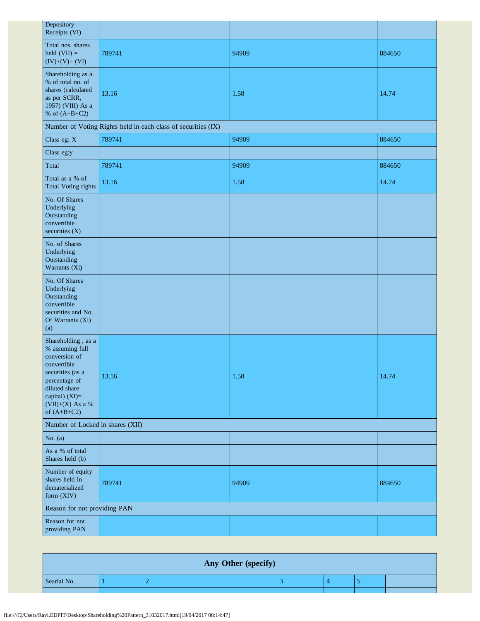| Depository<br>Receipts (VI)                                                                                                                                                         |                                                               |       |        |  |  |  |  |  |
|-------------------------------------------------------------------------------------------------------------------------------------------------------------------------------------|---------------------------------------------------------------|-------|--------|--|--|--|--|--|
| Total nos. shares<br>held $(VII) =$<br>$(IV)+(V)+(VI)$                                                                                                                              | 789741                                                        | 94909 | 884650 |  |  |  |  |  |
| Shareholding as a<br>% of total no. of<br>shares (calculated<br>as per SCRR,<br>1957) (VIII) As a<br>% of $(A+B+C2)$                                                                | 13.16                                                         | 1.58  | 14.74  |  |  |  |  |  |
|                                                                                                                                                                                     | Number of Voting Rights held in each class of securities (IX) |       |        |  |  |  |  |  |
| Class eg: X                                                                                                                                                                         | 789741                                                        | 94909 | 884650 |  |  |  |  |  |
| Class eg:y                                                                                                                                                                          |                                                               |       |        |  |  |  |  |  |
| Total                                                                                                                                                                               | 789741                                                        | 94909 | 884650 |  |  |  |  |  |
| Total as a % of<br><b>Total Voting rights</b>                                                                                                                                       | 13.16                                                         | 1.58  | 14.74  |  |  |  |  |  |
| No. Of Shares<br>Underlying<br>Outstanding<br>convertible<br>securities (X)                                                                                                         |                                                               |       |        |  |  |  |  |  |
| No. of Shares<br>Underlying<br>Outstanding<br>Warrants (Xi)                                                                                                                         |                                                               |       |        |  |  |  |  |  |
| No. Of Shares<br>Underlying<br>Outstanding<br>convertible<br>securities and No.<br>Of Warrants (Xi)<br>(a)                                                                          |                                                               |       |        |  |  |  |  |  |
| Shareholding , as a<br>% assuming full<br>conversion of<br>convertible<br>securities (as a<br>percentage of<br>diluted share<br>capital) (XI)=<br>(VII)+(X) As a %<br>of $(A+B+C2)$ | 13.16                                                         | 1.58  | 14.74  |  |  |  |  |  |
| Number of Locked in shares (XII)                                                                                                                                                    |                                                               |       |        |  |  |  |  |  |
| No. $(a)$                                                                                                                                                                           |                                                               |       |        |  |  |  |  |  |
| As a % of total<br>Shares held (b)                                                                                                                                                  |                                                               |       |        |  |  |  |  |  |
| Number of equity<br>shares held in<br>dematerialized<br>form (XIV)                                                                                                                  | 789741                                                        | 94909 | 884650 |  |  |  |  |  |
| Reason for not providing PAN                                                                                                                                                        |                                                               |       |        |  |  |  |  |  |
| Reason for not<br>providing PAN                                                                                                                                                     |                                                               |       |        |  |  |  |  |  |

| Any Other (specify) |  |  |  |  |  |  |
|---------------------|--|--|--|--|--|--|
| Searial No.         |  |  |  |  |  |  |
|                     |  |  |  |  |  |  |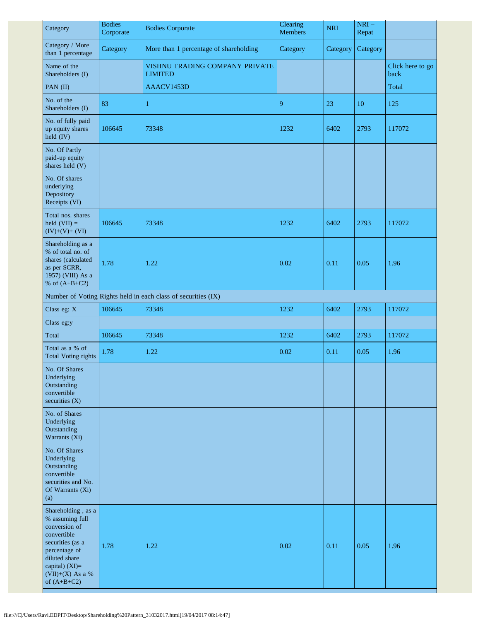| Category                                                                                                                                                                               | <b>Bodies</b><br>Corporate | <b>Bodies Corporate</b>                                       | Clearing<br><b>Members</b> | <b>NRI</b> | $NRI-$<br>Repat |                          |
|----------------------------------------------------------------------------------------------------------------------------------------------------------------------------------------|----------------------------|---------------------------------------------------------------|----------------------------|------------|-----------------|--------------------------|
| Category / More<br>than 1 percentage                                                                                                                                                   | Category                   | More than 1 percentage of shareholding                        | Category                   | Category   | Category        |                          |
| Name of the<br>Shareholders (I)                                                                                                                                                        |                            | VISHNU TRADING COMPANY PRIVATE<br><b>LIMITED</b>              |                            |            |                 | Click here to go<br>back |
| PAN (II)                                                                                                                                                                               |                            | AAACV1453D                                                    |                            |            |                 | Total                    |
| No. of the<br>Shareholders (I)                                                                                                                                                         | 83                         | $\mathbf{1}$                                                  | 9                          | 23         | 10              | 125                      |
| No. of fully paid<br>up equity shares<br>held (IV)                                                                                                                                     | 106645                     | 73348                                                         | 1232                       | 6402       | 2793            | 117072                   |
| No. Of Partly<br>paid-up equity<br>shares held (V)                                                                                                                                     |                            |                                                               |                            |            |                 |                          |
| No. Of shares<br>underlying<br>Depository<br>Receipts (VI)                                                                                                                             |                            |                                                               |                            |            |                 |                          |
| Total nos. shares<br>held $(VII) =$<br>$(IV)+(V)+(VI)$                                                                                                                                 | 106645                     | 73348                                                         | 1232                       | 6402       | 2793            | 117072                   |
| Shareholding as a<br>% of total no. of<br>shares (calculated<br>as per SCRR,<br>1957) (VIII) As a<br>% of $(A+B+C2)$                                                                   | 1.78                       | 1.22                                                          | 0.02                       | 0.11       | 0.05            | 1.96                     |
|                                                                                                                                                                                        |                            | Number of Voting Rights held in each class of securities (IX) |                            |            |                 |                          |
| Class eg: X                                                                                                                                                                            | 106645                     | 73348                                                         | 1232                       | 6402       | 2793            | 117072                   |
| Class eg:y                                                                                                                                                                             |                            |                                                               |                            |            |                 |                          |
| Total                                                                                                                                                                                  | 106645                     | 73348                                                         | 1232                       | 6402       | 2793            | 117072                   |
| Total as a % of<br><b>Total Voting rights</b>                                                                                                                                          | 1.78                       | 1.22                                                          | 0.02                       | 0.11       | 0.05            | 1.96                     |
| No. Of Shares<br>Underlying<br>Outstanding<br>convertible<br>securities $(X)$                                                                                                          |                            |                                                               |                            |            |                 |                          |
| No. of Shares<br>Underlying<br>Outstanding<br>Warrants (Xi)                                                                                                                            |                            |                                                               |                            |            |                 |                          |
| No. Of Shares<br>Underlying<br>Outstanding<br>convertible<br>securities and No.<br>Of Warrants (Xi)<br>(a)                                                                             |                            |                                                               |                            |            |                 |                          |
| Shareholding, as a<br>% assuming full<br>conversion of<br>convertible<br>securities (as a<br>percentage of<br>diluted share<br>capital) $(XI)=$<br>$(VII)+(X)$ As a %<br>of $(A+B+C2)$ | 1.78                       | 1.22                                                          | 0.02                       | 0.11       | 0.05            | 1.96                     |